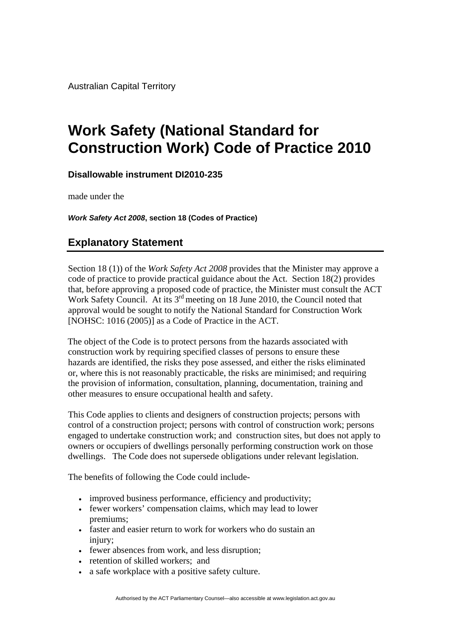Australian Capital Territory

## **Work Safety (National Standard for Construction Work) Code of Practice 2010**

**Disallowable instrument DI2010-235**

made under the

*Work Safety Act 2008***, section 18 (Codes of Practice)** 

## **Explanatory Statement**

Section 18 (1)) of the *Work Safety Act 2008* provides that the Minister may approve a code of practice to provide practical guidance about the Act. Section 18(2) provides that, before approving a proposed code of practice, the Minister must consult the ACT Work Safety Council. At its 3<sup>rd</sup> meeting on 18 June 2010, the Council noted that approval would be sought to notify the National Standard for Construction Work [NOHSC: 1016 (2005)] as a Code of Practice in the ACT.

The object of the Code is to protect persons from the hazards associated with construction work by requiring specified classes of persons to ensure these hazards are identified, the risks they pose assessed, and either the risks eliminated or, where this is not reasonably practicable, the risks are minimised; and requiring the provision of information, consultation, planning, documentation, training and other measures to ensure occupational health and safety.

This Code applies to clients and designers of construction projects; persons with control of a construction project; persons with control of construction work; persons engaged to undertake construction work; and construction sites, but does not apply to owners or occupiers of dwellings personally performing construction work on those dwellings. The Code does not supersede obligations under relevant legislation.

The benefits of following the Code could include-

- improved business performance, efficiency and productivity;
- fewer workers' compensation claims, which may lead to lower premiums;
- faster and easier return to work for workers who do sustain an injury;
- fewer absences from work, and less disruption;
- retention of skilled workers: and
- a safe workplace with a positive safety culture.